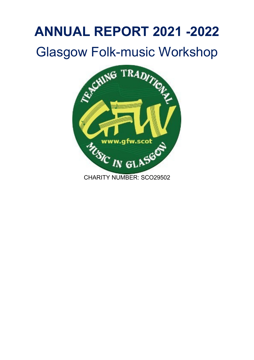# **ANNUAL REPORT 2021 -2022**



CHARITY NUMBER: SCO29502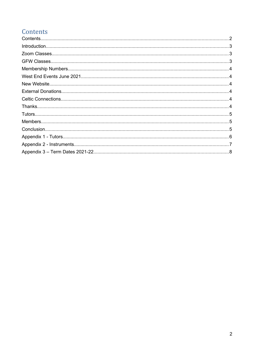# <span id="page-1-0"></span>Contents

| $\label{eq:1} \textsf{Introduction}.\textcolor{red}{\textsf{num}}\textcolor{red}{\textsf{num}}\textcolor{red}{\textsf{num}}\textcolor{red}{\textsf{num}}\textcolor{red}{\textsf{num}}\textcolor{red}{\textsf{num}}\textcolor{red}{\textsf{num}}\textcolor{red}{\textsf{num}}\textcolor{red}{\textsf{num}}\textcolor{red}{\textsf{num}}\textcolor{red}{\textsf{num}}\textcolor{red}{\textsf{num}}\textcolor{red}{\textsf{num}}\textcolor{red}{\textsf{num}}\textcolor{red}{\textsf{num}}\textcolor{red}{\textsf{num}}\textcolor{red}{\textsf{num}}\textcolor$ |  |
|--------------------------------------------------------------------------------------------------------------------------------------------------------------------------------------------------------------------------------------------------------------------------------------------------------------------------------------------------------------------------------------------------------------------------------------------------------------------------------------------------------------------------------------------------------------|--|
|                                                                                                                                                                                                                                                                                                                                                                                                                                                                                                                                                              |  |
|                                                                                                                                                                                                                                                                                                                                                                                                                                                                                                                                                              |  |
|                                                                                                                                                                                                                                                                                                                                                                                                                                                                                                                                                              |  |
|                                                                                                                                                                                                                                                                                                                                                                                                                                                                                                                                                              |  |
|                                                                                                                                                                                                                                                                                                                                                                                                                                                                                                                                                              |  |
|                                                                                                                                                                                                                                                                                                                                                                                                                                                                                                                                                              |  |
|                                                                                                                                                                                                                                                                                                                                                                                                                                                                                                                                                              |  |
|                                                                                                                                                                                                                                                                                                                                                                                                                                                                                                                                                              |  |
|                                                                                                                                                                                                                                                                                                                                                                                                                                                                                                                                                              |  |
|                                                                                                                                                                                                                                                                                                                                                                                                                                                                                                                                                              |  |
|                                                                                                                                                                                                                                                                                                                                                                                                                                                                                                                                                              |  |
|                                                                                                                                                                                                                                                                                                                                                                                                                                                                                                                                                              |  |
|                                                                                                                                                                                                                                                                                                                                                                                                                                                                                                                                                              |  |
|                                                                                                                                                                                                                                                                                                                                                                                                                                                                                                                                                              |  |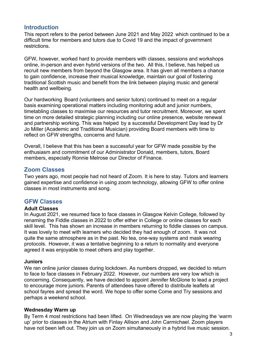# <span id="page-2-2"></span>**Introduction**

This report refers to the period between June 2021 and May 2022 which continued to be a difficult time for members and tutors due to Covid 19 and the impact of government restrictions.

GFW, however, worked hard to provide members with classes, sessions and workshops online, in-person and even hybrid versions of the two. All this, I believe, has helped us recruit new members from beyond the Glasgow area. It has given all members a chance to gain confidence, increase their musical knowledge, maintain our goal of fostering traditional Scottish music and benefit from the link between playing music and general health and wellbeing.

Our hardworking Board (volunteers and senior tutors) continued to meet on a regular basis examining operational matters including monitoring adult and junior numbers, timetabling classes to maximise our resources and tutor recruitment. Moreover, we spent time on more detailed strategic planning including our online presence, website renewal and partnership working. This was helped by a successful Development Day lead by Dr Jo Miller (Academic and Traditional Musician) providing Board members with time to reflect on GFW strengths, concerns and future.

Overall, I believe that this has been a successful year for GFW made possible by the enthusiasm and commitment of our Administrator Donald, members, tutors, Board members, especially Ronnie Melrose our Director of Finance.

# <span id="page-2-1"></span>**Zoom Classes**

Two years ago, most people had not heard of Zoom. It is here to stay. Tutors and learners gained expertise and confidence in using zoom technology, allowing GFW to offer online classes in most instruments and song.

## <span id="page-2-0"></span>**GFW Classes**

#### **Adult Classes**

In August 2021, we resumed face to face classes in Glasgow Kelvin College, followed by renaming the Fiddle classes in 2022 to offer either in College or online classes for each skill level. This has shown an increase in members returning to fiddle classes on campus. It was lovely to meet with learners who decided they had enough of zoom. It was not quite the same atmosphere as in the past. No tea, one-way systems and mask wearing protocols. However, it was a tentative beginning to a return to normality and everyone agreed it was enjoyable to meet others and play together.

#### **Juniors**

We ran online junior classes during lockdown. As numbers dropped, we decided to return to face to face classes in February 2022. However, our numbers are very low which is concerning. Consequently, we have decided to appoint Jennifer McGlone to lead a project to encourage more juniors. Parents of attendees have offered to distribute leaflets at school fayres and spread the word. We hope to offer some Come and Try sessions and perhaps a weekend school.

#### **Wednesday Warm up**

By Term 4 most restrictions had been lifted. On Wednesdays we are now playing the 'warm up' prior to classes in the Atrium with Finlay Allison and John Carmichael. Zoom players have not been left out. They join us on Zoom simultaneously in a hybrid live music session.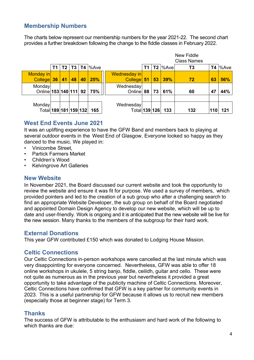# <span id="page-3-5"></span>**Membership Numbers**

The charts below represent our membership numbers for the year 2021-22. The second chart provides a further breakdown following the change to the fiddle classes in February 2022.

|                                    |     |    |                |    |            |                            |      |    |            | New Fiddle<br><b>Class Names</b> |           |                   |
|------------------------------------|-----|----|----------------|----|------------|----------------------------|------|----|------------|----------------------------------|-----------|-------------------|
|                                    | T1  | T2 | T <sub>3</sub> |    | $T4$  %Ave |                            | T1 I |    | $T2$  %Ave | T3                               | <b>T4</b> | $\frac{9}{6}$ Ave |
| <b>Monday</b> in<br><b>College</b> | 36/ | 41 | 48             | 40 | 25%        | Wednesday in<br>College 51 |      | 53 | 39%        | 72                               | 63        | <b>56%</b>        |
| Monday<br>Online 153 140 111 92    |     |    |                |    | 75%        | Wednesday<br>Online        | 88   | 73 | 61%        | 60                               | 47        | 44%               |
| Monday<br>Total 189 181 159 132    |     |    |                |    | 165        | Wednesday<br>Total 139 126 |      |    | 133        | 132                              | 110       | 121               |

# <span id="page-3-4"></span>**West End Events June 2021**

It was an uplifting experience to have the GFW Band and members back to playing at several outdoor events in the West End of Glasgow. Everyone looked so happy as they danced to the music. We played in:

- Vinicombe Street
- Partick Farmers Market
- Children's Wood
- Kelvingrove Art Galleries

## <span id="page-3-3"></span>**New Website**

In November 2021, the Board discussed our current website and took the opportunity to review the website and ensure it was fit for purpose. We used a survey of members, which provided pointers and led to the creation of a sub group who after a challenging search to find an appropriate Website Developer, the sub group on behalf of the Board negotiated and appointed Domain Design Agency to develop our new website, which will be up to date and user-friendly. Work is ongoing and it is anticipated that the new website will be live for the new session. Many thanks to the members of the subgroup for their hard work.

#### <span id="page-3-2"></span>**External Donations**

This year GFW contributed £150 which was donated to Lodging House Mission.

## <span id="page-3-1"></span>**Celtic Connections**

Our Celtic Connections in-person workshops were cancelled at the last minute which was very disappointing for everyone concerned. Nevertheless, GFW was able to offer 18 online workshops in ukulele, 5 string banjo, fiddle, ceilidh, guitar and cello. These were not quite as numerous as in the previous year but nevertheless it provided a great opportunity to take advantage of the publicity machine of Celtic Connections. Moreover, Celtic Connections have confirmed that GFW is a key partner for community events in 2023. This is a useful partnership for GFW because it allows us to recruit new members (especially those at beginner stage) for Term 3.

# <span id="page-3-0"></span>**Thanks**

The success of GFW is attributable to the enthusiasm and hard work of the following to which thanks are due: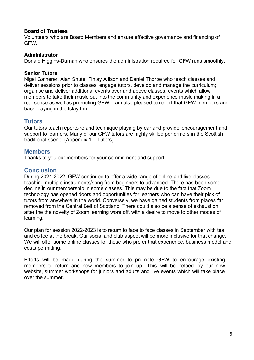#### **Board of Trustees**

Volunteers who are Board Members and ensure effective governance and financing of GFW.

#### **Administrator**

Donald Higgins-Durnan who ensures the administration required for GFW runs smoothly.

#### **Senior Tutors**

Nigel Gatherer, Alan Shute, Finlay Allison and Daniel Thorpe who teach classes and deliver sessions prior to classes; engage tutors, develop and manage the curriculum; organise and deliver additional events over and above classes, events which allow members to take their music out into the community and experience music making in a real sense as well as promoting GFW. I am also pleased to report that GFW members are back playing in the Islay Inn.

#### <span id="page-4-2"></span>**Tutors**

Our tutors teach repertoire and technique playing by ear and provide encouragement and support to learners. Many of our GFW tutors are highly skilled performers in the Scottish traditional scene. (Appendix 1 – Tutors).

#### <span id="page-4-1"></span>**Members**

Thanks to you our members for your commitment and support.

## <span id="page-4-0"></span>**Conclusion**

During 2021-2022, GFW continued to offer a wide range of online and live classes teaching multiple instruments/song from beginners to advanced. There has been some decline in our membership in some classes. This may be due to the fact that Zoom technology has opened doors and opportunities for learners who can have their pick of tutors from anywhere in the world. Conversely, we have gained students from places far removed from the Central Belt of Scotland. There could also be a sense of exhaustion after the the novelty of Zoom learning wore off, with a desire to move to other modes of learning.

Our plan for session 2022-2023 is to return to face to face classes in September with tea and coffee at the break. Our social and club aspect will be more inclusive for that change. We will offer some online classes for those who prefer that experience, business model and costs permitting.

Efforts will be made during the summer to promote GFW to encourage existing members to return and new members to join up. This will be helped by our new website, summer workshops for juniors and adults and live events which will take place over the summer.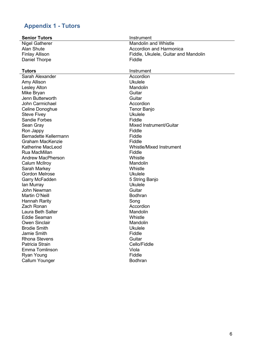# <span id="page-5-0"></span>**Appendix 1 - Tutors**

| <b>Senior Tutors</b>     | Instrument                           |
|--------------------------|--------------------------------------|
| <b>Nigel Gatherer</b>    | <b>Mandolin and Whistle</b>          |
| <b>Alan Shute</b>        | <b>Accordion and Harmonica</b>       |
| <b>Finlay Allison</b>    | Fiddle, Ukulele, Guitar and Mandolin |
| Daniel Thorpe            | Fiddle                               |
|                          |                                      |
| <b>Tutors</b>            | Instrument                           |
| Sarah Alexander          | Accordion                            |
| Amy Allison              | <b>Ukulele</b>                       |
| <b>Lesley Alton</b>      | Mandolin                             |
| Mike Bryan               | Guitar                               |
| Jenn Butterworth         | Guitar                               |
| John Carmichael          | Accordion                            |
| Celine Donoghue          | <b>Tenor Banjo</b>                   |
| <b>Steve Fivey</b>       | <b>Ukulele</b>                       |
| <b>Sandie Forbes</b>     | Fiddle                               |
| Sean Gray                | Mixed Instrument/Guitar              |
| Ron Jappy                | Fiddle                               |
| Bernadette Kellermann    | Fiddle                               |
| Graham MacKenzie         | Fiddle                               |
| Katherine MacLeod        | <b>Whistle/Mixed Instrument</b>      |
| Rua MacMillan            | Fiddle                               |
| <b>Andrew MacPherson</b> | Whistle                              |
| <b>Calum McIlroy</b>     | Mandolin                             |
| Sarah Markey             | Whistle                              |
| <b>Gordon Melrose</b>    | <b>Ukulele</b>                       |
| Garry McFadden           | 5 String Banjo                       |
| lan Murray               | <b>Ukulele</b>                       |
| <b>John Newman</b>       | Guitar                               |
| Martin O'Neill           | <b>Bodhran</b>                       |
| <b>Hannah Rarity</b>     | Song                                 |
| Zach Ronan               | Accordion                            |
| Laura Beth Salter        | Mandolin                             |
| <b>Eddie Seaman</b>      | Whistle                              |
| <b>Owen Sinclair</b>     | Mandolin                             |
| <b>Brodie Smith</b>      | <b>Ukulele</b>                       |
| Jamie Smith              | Fiddle                               |
| <b>Rhona Stevens</b>     | Guitar                               |
| Patricia Strain          | Cello/Fiddle                         |
| Emma Tomlinson           | Viola                                |
| Ryan Young               | Fiddle                               |
| Callum Younger           | <b>Bodhran</b>                       |
|                          |                                      |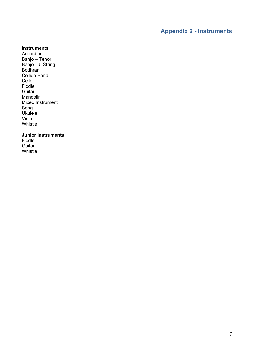#### <span id="page-6-0"></span>**Instruments**

**Accordion** Banjo – Tenor Banjo – 5 String Bodhran Ceilidh Band Cello Fiddle **Guitar** Mandolin Mixed Instrument Song Ukulele Viola Whistle

#### **Junior Instruments**

**Fiddle Guitar** Whistle